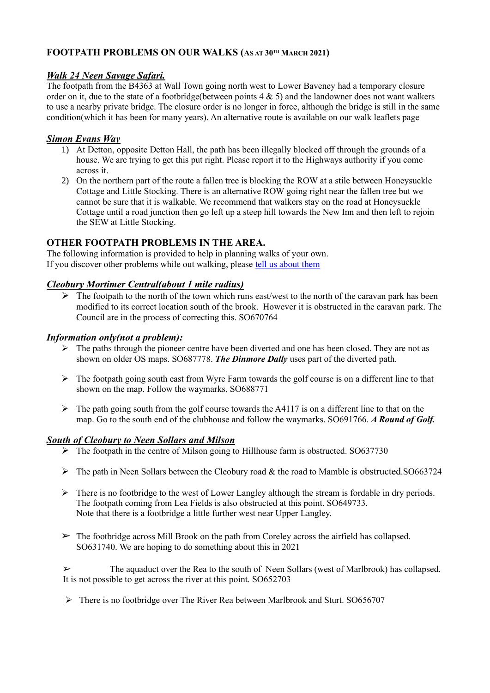# **FOOTPATH PROBLEMS ON OUR WALKS (AS AT 30TH MARCH 2021)**

## *Walk 24 Neen Savage Safari.*

The footpath from the B4363 at Wall Town going north west to Lower Baveney had a temporary closure order on it, due to the state of a footbridge(between points 4 & 5) and the landowner does not want walkers to use a nearby private bridge. The closure order is no longer in force, although the bridge is still in the same condition(which it has been for many years). An alternative route is available on our walk leaflets page

### *Simon Evans Way*

- 1) At Detton, opposite Detton Hall, the path has been illegally blocked off through the grounds of a house. We are trying to get this put right. Please report it to the Highways authority if you come across it.
- 2) On the northern part of the route a fallen tree is blocking the ROW at a stile between Honeysuckle Cottage and Little Stocking. There is an alternative ROW going right near the fallen tree but we cannot be sure that it is walkable. We recommend that walkers stay on the road at Honeysuckle Cottage until a road junction then go left up a steep hill towards the New Inn and then left to rejoin the SEW at Little Stocking.

## **OTHER FOOTPATH PROBLEMS IN THE AREA.**

The following information is provided to help in planning walks of your own. If you discover other problems while out walking, please [tell us about them](mailto:susanjsharp44@gmail.com)

## *Cleobury Mortimer Central(about 1 mile radius)*

 $\triangleright$  The footpath to the north of the town which runs east/west to the north of the caravan park has been modified to its correct location south of the brook. However it is obstructed in the caravan park. The Council are in the process of correcting this. SO670764

### *Information only(not a problem):*

- $\triangleright$  The paths through the pioneer centre have been diverted and one has been closed. They are not as shown on older OS maps. SO687778. *The Dinmore Dally* uses part of the diverted path.
- $\triangleright$  The footpath going south east from Wyre Farm towards the golf course is on a different line to that shown on the map. Follow the waymarks. SO688771
- $\triangleright$  The path going south from the golf course towards the A4117 is on a different line to that on the map. Go to the south end of the clubhouse and follow the waymarks. SO691766. *A Round of Golf.*

### *South of Cleobury to Neen Sollars and Milson*

- $\triangleright$  The footpath in the centre of Milson going to Hillhouse farm is obstructed. SO637730
- $\triangleright$  The path in Neen Sollars between the Cleobury road & the road to Mamble is obstructed.SO663724
- $\triangleright$  There is no footbridge to the west of Lower Langley although the stream is fordable in dry periods. The footpath coming from Lea Fields is also obstructed at this point. SO649733. Note that there is a footbridge a little further west near Upper Langley.
- $\triangleright$  The footbridge across Mill Brook on the path from Coreley across the airfield has collapsed. SO631740. We are hoping to do something about this in 2021

The aquaduct over the Rea to the south of Neen Sollars (west of Marlbrook) has collapsed. It is not possible to get across the river at this point. SO652703

➢ There is no footbridge over The River Rea between Marlbrook and Sturt. SO656707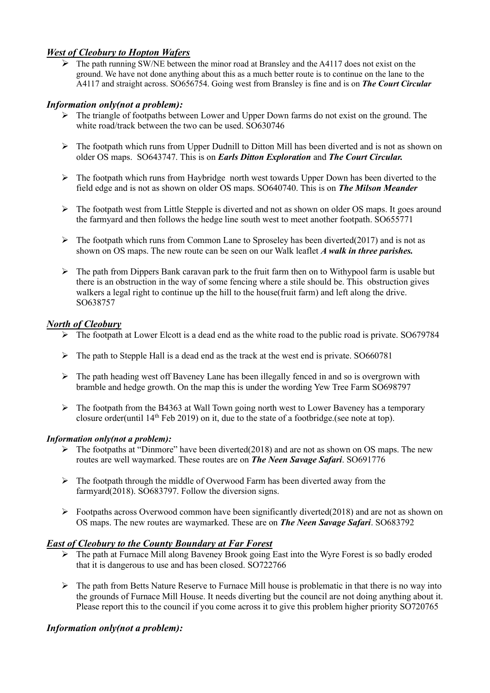### *West of Cleobury to Hopton Wafers*

 $\triangleright$  The path running SW/NE between the minor road at Bransley and the A4117 does not exist on the ground. We have not done anything about this as a much better route is to continue on the lane to the A4117 and straight across. SO656754. Going west from Bransley is fine and is on *The Court Circular*

### *Information only(not a problem):*

- ➢ The triangle of footpaths between Lower and Upper Down farms do not exist on the ground. The white road/track between the two can be used. SO630746
- ➢ The footpath which runs from Upper Dudnill to Ditton Mill has been diverted and is not as shown on older OS maps. SO643747. This is on *Earls Ditton Exploration* and *The Court Circular.*
- $\triangleright$  The footpath which runs from Haybridge north west towards Upper Down has been diverted to the field edge and is not as shown on older OS maps. SO640740. This is on *The Milson Meander*
- ➢ The footpath west from Little Stepple is diverted and not as shown on older OS maps. It goes around the farmyard and then follows the hedge line south west to meet another footpath. SO655771
- $\triangleright$  The footpath which runs from Common Lane to Sproseley has been diverted(2017) and is not as shown on OS maps. The new route can be seen on our Walk leaflet *A walk in three parishes.*
- $\triangleright$  The path from Dippers Bank caravan park to the fruit farm then on to Withypool farm is usable but there is an obstruction in the way of some fencing where a stile should be. This obstruction gives walkers a legal right to continue up the hill to the house(fruit farm) and left along the drive. SO638757

### *North of Cleobury*

- ➢ The footpath at Lower Elcott is a dead end as the white road to the public road is private. SO679784
- ➢ The path to Stepple Hall is a dead end as the track at the west end is private. SO660781
- $\triangleright$  The path heading west off Baveney Lane has been illegally fenced in and so is overgrown with bramble and hedge growth. On the map this is under the wording Yew Tree Farm SO698797
- ➢ The footpath from the B4363 at Wall Town going north west to Lower Baveney has a temporary closure order(until 14th Feb 2019) on it, due to the state of a footbridge.(see note at top).

### *Information only(not a problem):*

- $\triangleright$  The footpaths at "Dinmore" have been diverted(2018) and are not as shown on OS maps. The new routes are well waymarked. These routes are on *The Neen Savage Safari*. SO691776
- ➢ The footpath through the middle of Overwood Farm has been diverted away from the farmyard(2018). SO683797. Follow the diversion signs.
- ➢ Footpaths across Overwood common have been significantly diverted(2018) and are not as shown on OS maps. The new routes are waymarked. These are on *The Neen Savage Safari*. SO683792

### *East of Cleobury to the County Boundary at Far Forest*

- ➢ The path at Furnace Mill along Baveney Brook going East into the Wyre Forest is so badly eroded that it is dangerous to use and has been closed. SO722766
- $\triangleright$  The path from Betts Nature Reserve to Furnace Mill house is problematic in that there is no way into the grounds of Furnace Mill House. It needs diverting but the council are not doing anything about it. Please report this to the council if you come across it to give this problem higher priority SO720765

### *Information only(not a problem):*